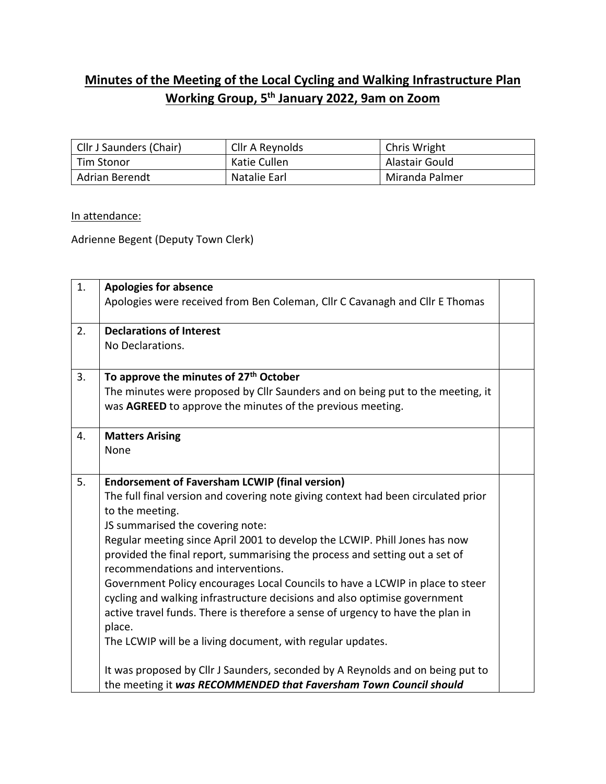## **Minutes of the Meeting of the Local Cycling and Walking Infrastructure Plan Working Group, 5 th January 2022, 9am on Zoom**

| Cllr J Saunders (Chair) | Cllr A Reynolds | Chris Wright   |
|-------------------------|-----------------|----------------|
| Tim Stonor              | Katie Cullen    | Alastair Gould |
| <b>Adrian Berendt</b>   | Natalie Earl    | Miranda Palmer |

## In attendance:

Adrienne Begent (Deputy Town Clerk)

| 1. | <b>Apologies for absence</b><br>Apologies were received from Ben Coleman, Cllr C Cavanagh and Cllr E Thomas                                                                                                                                                                                                                                                                                                                                                                                                                                                                                                                                                                                                                  |  |
|----|------------------------------------------------------------------------------------------------------------------------------------------------------------------------------------------------------------------------------------------------------------------------------------------------------------------------------------------------------------------------------------------------------------------------------------------------------------------------------------------------------------------------------------------------------------------------------------------------------------------------------------------------------------------------------------------------------------------------------|--|
| 2. | <b>Declarations of Interest</b><br>No Declarations.                                                                                                                                                                                                                                                                                                                                                                                                                                                                                                                                                                                                                                                                          |  |
| 3. | To approve the minutes of 27 <sup>th</sup> October<br>The minutes were proposed by Cllr Saunders and on being put to the meeting, it<br>was AGREED to approve the minutes of the previous meeting.                                                                                                                                                                                                                                                                                                                                                                                                                                                                                                                           |  |
| 4. | <b>Matters Arising</b><br>None                                                                                                                                                                                                                                                                                                                                                                                                                                                                                                                                                                                                                                                                                               |  |
| 5. | <b>Endorsement of Faversham LCWIP (final version)</b><br>The full final version and covering note giving context had been circulated prior<br>to the meeting.<br>JS summarised the covering note:<br>Regular meeting since April 2001 to develop the LCWIP. Phill Jones has now<br>provided the final report, summarising the process and setting out a set of<br>recommendations and interventions.<br>Government Policy encourages Local Councils to have a LCWIP in place to steer<br>cycling and walking infrastructure decisions and also optimise government<br>active travel funds. There is therefore a sense of urgency to have the plan in<br>place.<br>The LCWIP will be a living document, with regular updates. |  |
|    | It was proposed by Cllr J Saunders, seconded by A Reynolds and on being put to<br>the meeting it was RECOMMENDED that Faversham Town Council should                                                                                                                                                                                                                                                                                                                                                                                                                                                                                                                                                                          |  |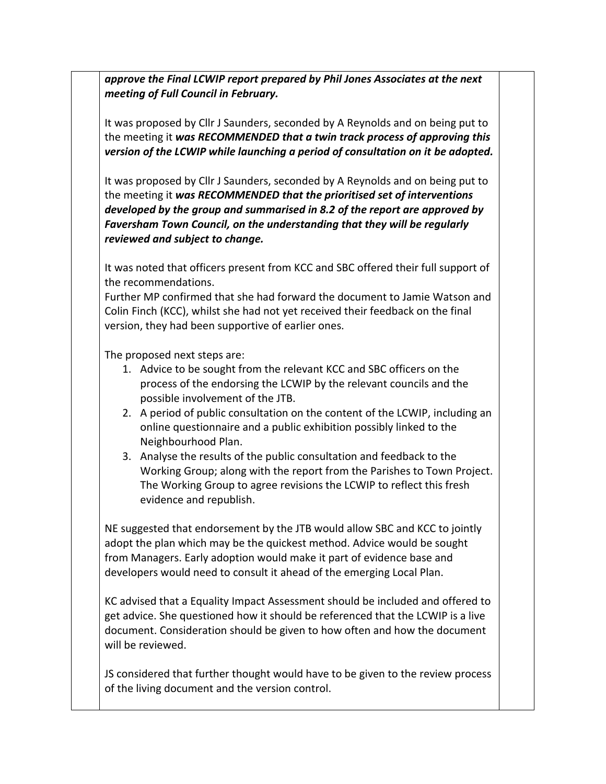*approve the Final LCWIP report prepared by Phil Jones Associates at the next meeting of Full Council in February.* 

It was proposed by Cllr J Saunders, seconded by A Reynolds and on being put to the meeting it *was RECOMMENDED that a twin track process of approving this version of the LCWIP while launching a period of consultation on it be adopted.* 

It was proposed by Cllr J Saunders, seconded by A Reynolds and on being put to the meeting it *was RECOMMENDED that the prioritised set of interventions developed by the group and summarised in 8.2 of the report are approved by Faversham Town Council, on the understanding that they will be regularly reviewed and subject to change.* 

It was noted that officers present from KCC and SBC offered their full support of the recommendations.

Further MP confirmed that she had forward the document to Jamie Watson and Colin Finch (KCC), whilst she had not yet received their feedback on the final version, they had been supportive of earlier ones.

The proposed next steps are:

- 1. Advice to be sought from the relevant KCC and SBC officers on the process of the endorsing the LCWIP by the relevant councils and the possible involvement of the JTB.
- 2. A period of public consultation on the content of the LCWIP, including an online questionnaire and a public exhibition possibly linked to the Neighbourhood Plan.
- 3. Analyse the results of the public consultation and feedback to the Working Group; along with the report from the Parishes to Town Project. The Working Group to agree revisions the LCWIP to reflect this fresh evidence and republish.

NE suggested that endorsement by the JTB would allow SBC and KCC to jointly adopt the plan which may be the quickest method. Advice would be sought from Managers. Early adoption would make it part of evidence base and developers would need to consult it ahead of the emerging Local Plan.

KC advised that a Equality Impact Assessment should be included and offered to get advice. She questioned how it should be referenced that the LCWIP is a live document. Consideration should be given to how often and how the document will be reviewed.

JS considered that further thought would have to be given to the review process of the living document and the version control.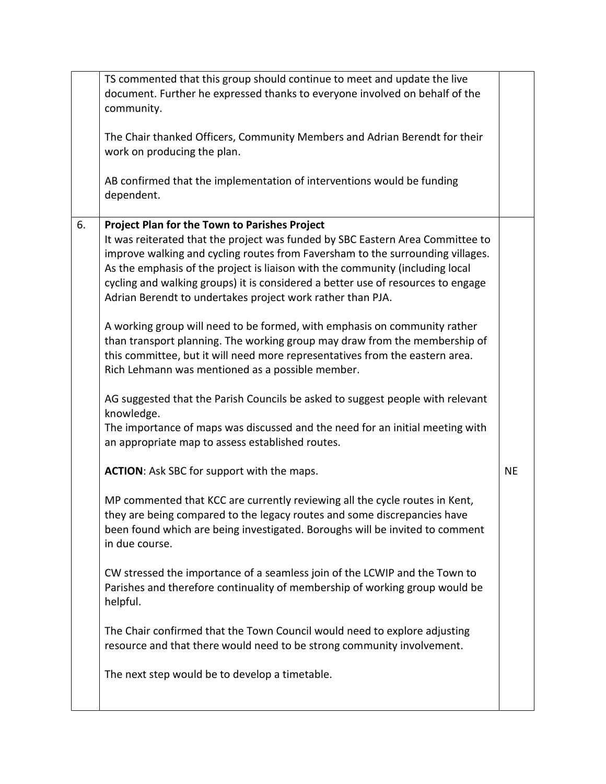|    | TS commented that this group should continue to meet and update the live<br>document. Further he expressed thanks to everyone involved on behalf of the<br>community.<br>The Chair thanked Officers, Community Members and Adrian Berendt for their<br>work on producing the plan.<br>AB confirmed that the implementation of interventions would be funding<br>dependent.                                                                                                                                                                                                                                                                                                                                                                                                                                                                                                                                                                                                                                                                                                                                                                                                                                                                                                                                                                                                                                                                                                                                                                                                                                                                                                                          |           |
|----|-----------------------------------------------------------------------------------------------------------------------------------------------------------------------------------------------------------------------------------------------------------------------------------------------------------------------------------------------------------------------------------------------------------------------------------------------------------------------------------------------------------------------------------------------------------------------------------------------------------------------------------------------------------------------------------------------------------------------------------------------------------------------------------------------------------------------------------------------------------------------------------------------------------------------------------------------------------------------------------------------------------------------------------------------------------------------------------------------------------------------------------------------------------------------------------------------------------------------------------------------------------------------------------------------------------------------------------------------------------------------------------------------------------------------------------------------------------------------------------------------------------------------------------------------------------------------------------------------------------------------------------------------------------------------------------------------------|-----------|
| 6. | <b>Project Plan for the Town to Parishes Project</b><br>It was reiterated that the project was funded by SBC Eastern Area Committee to<br>improve walking and cycling routes from Faversham to the surrounding villages.<br>As the emphasis of the project is liaison with the community (including local<br>cycling and walking groups) it is considered a better use of resources to engage<br>Adrian Berendt to undertakes project work rather than PJA.<br>A working group will need to be formed, with emphasis on community rather<br>than transport planning. The working group may draw from the membership of<br>this committee, but it will need more representatives from the eastern area.<br>Rich Lehmann was mentioned as a possible member.<br>AG suggested that the Parish Councils be asked to suggest people with relevant<br>knowledge.<br>The importance of maps was discussed and the need for an initial meeting with<br>an appropriate map to assess established routes.<br><b>ACTION:</b> Ask SBC for support with the maps.<br>MP commented that KCC are currently reviewing all the cycle routes in Kent,<br>they are being compared to the legacy routes and some discrepancies have<br>been found which are being investigated. Boroughs will be invited to comment<br>in due course.<br>CW stressed the importance of a seamless join of the LCWIP and the Town to<br>Parishes and therefore continuality of membership of working group would be<br>helpful.<br>The Chair confirmed that the Town Council would need to explore adjusting<br>resource and that there would need to be strong community involvement.<br>The next step would be to develop a timetable. | <b>NE</b> |